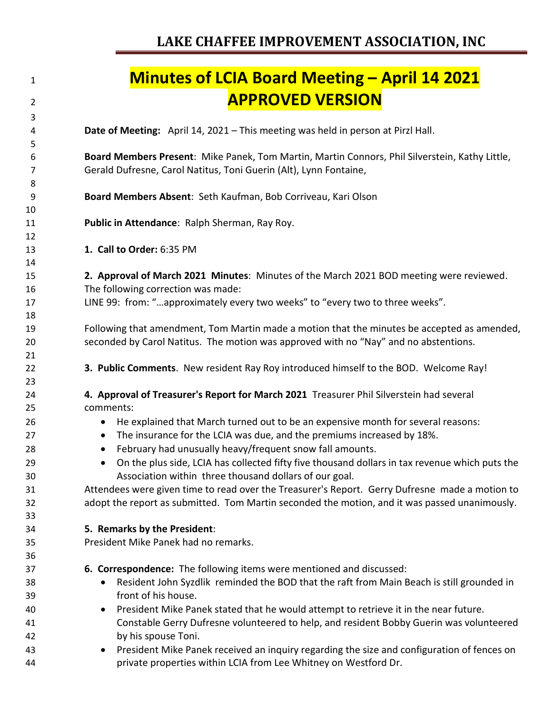| 1              | <b>Minutes of LCIA Board Meeting – April 14 2021</b>                                                                                                                                 |
|----------------|--------------------------------------------------------------------------------------------------------------------------------------------------------------------------------------|
| $\overline{2}$ | <b>APPROVED VERSION</b>                                                                                                                                                              |
| 3<br>4         | Date of Meeting: April 14, 2021 - This meeting was held in person at Pirzl Hall.                                                                                                     |
| 5              |                                                                                                                                                                                      |
| 6<br>7         | Board Members Present: Mike Panek, Tom Martin, Martin Connors, Phil Silverstein, Kathy Little,<br>Gerald Dufresne, Carol Natitus, Toni Guerin (Alt), Lynn Fontaine,                  |
| 8<br>9         | Board Members Absent: Seth Kaufman, Bob Corriveau, Kari Olson                                                                                                                        |
| 10<br>11       | Public in Attendance: Ralph Sherman, Ray Roy.                                                                                                                                        |
| 12<br>13       | 1. Call to Order: 6:35 PM                                                                                                                                                            |
| 14<br>15<br>16 | 2. Approval of March 2021 Minutes: Minutes of the March 2021 BOD meeting were reviewed.<br>The following correction was made:                                                        |
| 17<br>18       | LINE 99: from: "approximately every two weeks" to "every two to three weeks".                                                                                                        |
| 19<br>20<br>21 | Following that amendment, Tom Martin made a motion that the minutes be accepted as amended,<br>seconded by Carol Natitus. The motion was approved with no "Nay" and no abstentions.  |
| 22<br>23       | 3. Public Comments. New resident Ray Roy introduced himself to the BOD. Welcome Ray!                                                                                                 |
| 24             | 4. Approval of Treasurer's Report for March 2021 Treasurer Phil Silverstein had several                                                                                              |
| 25             | comments:                                                                                                                                                                            |
| 26<br>27       | He explained that March turned out to be an expensive month for several reasons:<br>$\bullet$<br>The insurance for the LCIA was due, and the premiums increased by 18%.<br>$\bullet$ |
| 28             | February had unusually heavy/frequent snow fall amounts.<br>$\bullet$                                                                                                                |
| 29<br>30       | On the plus side, LCIA has collected fifty five thousand dollars in tax revenue which puts the<br>Association within three thousand dollars of our goal.                             |
| 31             | Attendees were given time to read over the Treasurer's Report. Gerry Dufresne made a motion to                                                                                       |
| 32<br>33       | adopt the report as submitted. Tom Martin seconded the motion, and it was passed unanimously.                                                                                        |
| 34             | 5. Remarks by the President:                                                                                                                                                         |
| 35<br>36       | President Mike Panek had no remarks.                                                                                                                                                 |
| 37             | 6. Correspondence: The following items were mentioned and discussed:                                                                                                                 |
| 38<br>39       | Resident John Syzdlik reminded the BOD that the raft from Main Beach is still grounded in<br>front of his house.                                                                     |
| 40             | President Mike Panek stated that he would attempt to retrieve it in the near future.<br>$\bullet$                                                                                    |
| 41             | Constable Gerry Dufresne volunteered to help, and resident Bobby Guerin was volunteered                                                                                              |
| 42             | by his spouse Toni.                                                                                                                                                                  |
| 43<br>44       | President Mike Panek received an inquiry regarding the size and configuration of fences on<br>$\bullet$<br>private properties within LCIA from Lee Whitney on Westford Dr.           |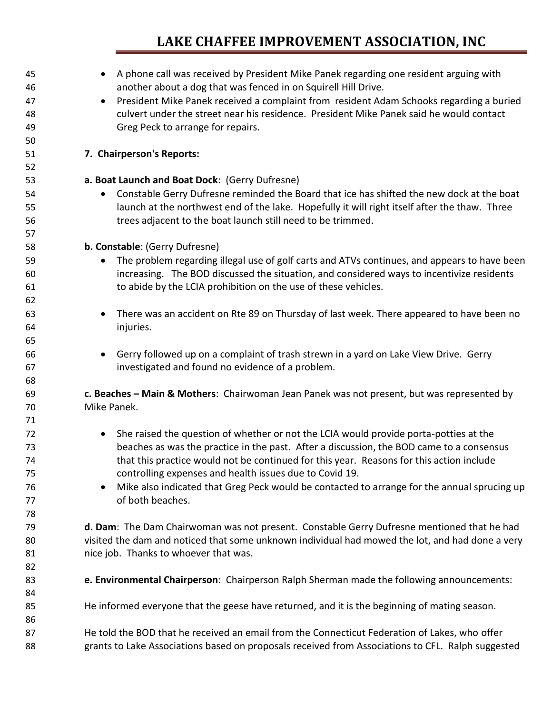## **LAKE CHAFFEE IMPROVEMENT ASSOCIATION, INC**

| 45 | A phone call was received by President Mike Panek regarding one resident arguing with                 |  |  |  |  |  |
|----|-------------------------------------------------------------------------------------------------------|--|--|--|--|--|
| 46 | another about a dog that was fenced in on Squirell Hill Drive.                                        |  |  |  |  |  |
| 47 | President Mike Panek received a complaint from resident Adam Schooks regarding a buried<br>$\bullet$  |  |  |  |  |  |
| 48 | culvert under the street near his residence. President Mike Panek said he would contact               |  |  |  |  |  |
| 49 | Greg Peck to arrange for repairs.                                                                     |  |  |  |  |  |
| 50 |                                                                                                       |  |  |  |  |  |
| 51 | 7. Chairperson's Reports:                                                                             |  |  |  |  |  |
| 52 |                                                                                                       |  |  |  |  |  |
| 53 | a. Boat Launch and Boat Dock: (Gerry Dufresne)                                                        |  |  |  |  |  |
| 54 | Constable Gerry Dufresne reminded the Board that ice has shifted the new dock at the boat<br>٠        |  |  |  |  |  |
| 55 | launch at the northwest end of the lake. Hopefully it will right itself after the thaw. Three         |  |  |  |  |  |
| 56 | trees adjacent to the boat launch still need to be trimmed.                                           |  |  |  |  |  |
| 57 |                                                                                                       |  |  |  |  |  |
| 58 | b. Constable: (Gerry Dufresne)                                                                        |  |  |  |  |  |
| 59 | The problem regarding illegal use of golf carts and ATVs continues, and appears to have been          |  |  |  |  |  |
| 60 | increasing. The BOD discussed the situation, and considered ways to incentivize residents             |  |  |  |  |  |
| 61 | to abide by the LCIA prohibition on the use of these vehicles.                                        |  |  |  |  |  |
| 62 |                                                                                                       |  |  |  |  |  |
| 63 | There was an accident on Rte 89 on Thursday of last week. There appeared to have been no<br>$\bullet$ |  |  |  |  |  |
| 64 | injuries.                                                                                             |  |  |  |  |  |
| 65 |                                                                                                       |  |  |  |  |  |
| 66 | Gerry followed up on a complaint of trash strewn in a yard on Lake View Drive. Gerry<br>$\bullet$     |  |  |  |  |  |
| 67 | investigated and found no evidence of a problem.                                                      |  |  |  |  |  |
| 68 |                                                                                                       |  |  |  |  |  |
| 69 | c. Beaches - Main & Mothers: Chairwoman Jean Panek was not present, but was represented by            |  |  |  |  |  |
| 70 | Mike Panek.                                                                                           |  |  |  |  |  |
| 71 |                                                                                                       |  |  |  |  |  |
| 72 | She raised the question of whether or not the LCIA would provide porta-potties at the<br>$\bullet$    |  |  |  |  |  |
| 73 | beaches as was the practice in the past. After a discussion, the BOD came to a consensus              |  |  |  |  |  |
| 74 | that this practice would not be continued for this year. Reasons for this action include              |  |  |  |  |  |
| 75 | controlling expenses and health issues due to Covid 19.                                               |  |  |  |  |  |
| 76 | Mike also indicated that Greg Peck would be contacted to arrange for the annual sprucing up<br>٠      |  |  |  |  |  |
| 77 | of both beaches.                                                                                      |  |  |  |  |  |
| 78 |                                                                                                       |  |  |  |  |  |
| 79 | d. Dam: The Dam Chairwoman was not present. Constable Gerry Dufresne mentioned that he had            |  |  |  |  |  |
| 80 | visited the dam and noticed that some unknown individual had mowed the lot, and had done a very       |  |  |  |  |  |
| 81 | nice job. Thanks to whoever that was.                                                                 |  |  |  |  |  |
| 82 |                                                                                                       |  |  |  |  |  |
| 83 | e. Environmental Chairperson: Chairperson Ralph Sherman made the following announcements:             |  |  |  |  |  |
| 84 |                                                                                                       |  |  |  |  |  |
| 85 | He informed everyone that the geese have returned, and it is the beginning of mating season.          |  |  |  |  |  |
| 86 |                                                                                                       |  |  |  |  |  |
| 87 | He told the BOD that he received an email from the Connecticut Federation of Lakes, who offer         |  |  |  |  |  |
| 88 | grants to Lake Associations based on proposals received from Associations to CFL. Ralph suggested     |  |  |  |  |  |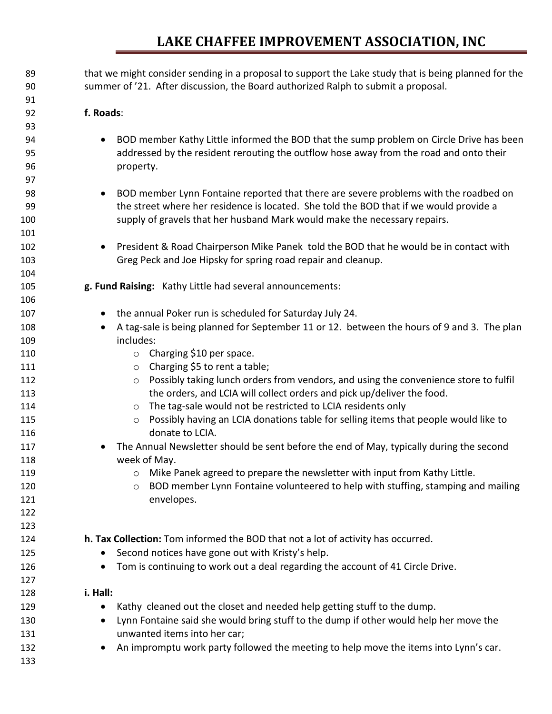## **LAKE CHAFFEE IMPROVEMENT ASSOCIATION, INC**

| 89  | that we might consider sending in a proposal to support the Lake study that is being planned for the    |
|-----|---------------------------------------------------------------------------------------------------------|
| 90  | summer of '21. After discussion, the Board authorized Ralph to submit a proposal.                       |
| 91  |                                                                                                         |
| 92  | f. Roads:                                                                                               |
| 93  |                                                                                                         |
| 94  | BOD member Kathy Little informed the BOD that the sump problem on Circle Drive has been<br>$\bullet$    |
| 95  | addressed by the resident rerouting the outflow hose away from the road and onto their                  |
| 96  | property.                                                                                               |
| 97  |                                                                                                         |
| 98  | BOD member Lynn Fontaine reported that there are severe problems with the roadbed on<br>$\bullet$       |
| 99  | the street where her residence is located. She told the BOD that if we would provide a                  |
| 100 | supply of gravels that her husband Mark would make the necessary repairs.                               |
| 101 |                                                                                                         |
| 102 | President & Road Chairperson Mike Panek told the BOD that he would be in contact with<br>$\bullet$      |
| 103 | Greg Peck and Joe Hipsky for spring road repair and cleanup.                                            |
| 104 |                                                                                                         |
| 105 | g. Fund Raising: Kathy Little had several announcements:                                                |
| 106 |                                                                                                         |
| 107 | the annual Poker run is scheduled for Saturday July 24.<br>$\bullet$                                    |
| 108 | A tag-sale is being planned for September 11 or 12. between the hours of 9 and 3. The plan<br>$\bullet$ |
| 109 | includes:                                                                                               |
| 110 | $\circ$ Charging \$10 per space.                                                                        |
| 111 | Charging \$5 to rent a table;<br>$\circ$                                                                |
| 112 | Possibly taking lunch orders from vendors, and using the convenience store to fulfil<br>$\circ$         |
| 113 | the orders, and LCIA will collect orders and pick up/deliver the food.                                  |
| 114 | The tag-sale would not be restricted to LCIA residents only<br>$\circ$                                  |
| 115 | Possibly having an LCIA donations table for selling items that people would like to<br>$\circ$          |
| 116 | donate to LCIA.                                                                                         |
| 117 | The Annual Newsletter should be sent before the end of May, typically during the second<br>$\bullet$    |
| 118 | week of May.                                                                                            |
| 119 | Mike Panek agreed to prepare the newsletter with input from Kathy Little.                               |
| 120 | BOD member Lynn Fontaine volunteered to help with stuffing, stamping and mailing<br>$\circ$             |
| 121 | envelopes.                                                                                              |
| 122 |                                                                                                         |
| 123 |                                                                                                         |
| 124 | h. Tax Collection: Tom informed the BOD that not a lot of activity has occurred.                        |
| 125 | Second notices have gone out with Kristy's help.<br>$\bullet$                                           |
| 126 | Tom is continuing to work out a deal regarding the account of 41 Circle Drive.                          |
| 127 |                                                                                                         |
| 128 | i. Hall:                                                                                                |
| 129 | Kathy cleaned out the closet and needed help getting stuff to the dump.<br>$\bullet$                    |
| 130 | Lynn Fontaine said she would bring stuff to the dump if other would help her move the<br>$\bullet$      |
| 131 | unwanted items into her car;                                                                            |
| 132 | An impromptu work party followed the meeting to help move the items into Lynn's car.<br>$\bullet$       |
| 133 |                                                                                                         |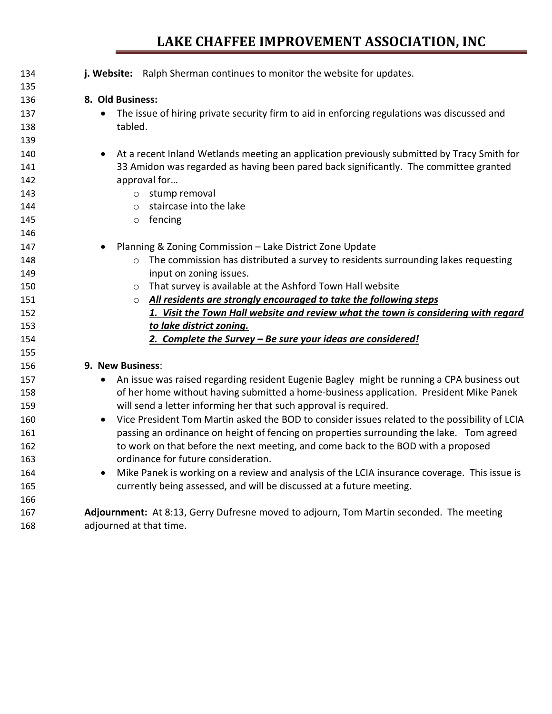## **LAKE CHAFFEE IMPROVEMENT ASSOCIATION, INC**

| 134 | j. Website: Ralph Sherman continues to monitor the website for updates.                                    |
|-----|------------------------------------------------------------------------------------------------------------|
| 135 |                                                                                                            |
| 136 | 8. Old Business:                                                                                           |
| 137 | The issue of hiring private security firm to aid in enforcing regulations was discussed and<br>$\bullet$   |
| 138 | tabled.                                                                                                    |
| 139 |                                                                                                            |
| 140 | At a recent Inland Wetlands meeting an application previously submitted by Tracy Smith for<br>$\bullet$    |
| 141 | 33 Amidon was regarded as having been pared back significantly. The committee granted                      |
| 142 | approval for                                                                                               |
| 143 | o stump removal                                                                                            |
| 144 | staircase into the lake<br>$\circ$                                                                         |
| 145 | $\circ$ fencing                                                                                            |
| 146 |                                                                                                            |
| 147 | Planning & Zoning Commission - Lake District Zone Update<br>$\bullet$                                      |
| 148 | The commission has distributed a survey to residents surrounding lakes requesting<br>$\circ$               |
| 149 | input on zoning issues.                                                                                    |
| 150 | That survey is available at the Ashford Town Hall website<br>$\circ$                                       |
| 151 | o All residents are strongly encouraged to take the following steps                                        |
| 152 | 1. Visit the Town Hall website and review what the town is considering with regard                         |
| 153 | to lake district zoning.                                                                                   |
| 154 | 2. Complete the Survey - Be sure your ideas are considered!                                                |
| 155 |                                                                                                            |
| 156 | 9. New Business:                                                                                           |
| 157 | An issue was raised regarding resident Eugenie Bagley might be running a CPA business out<br>$\bullet$     |
| 158 | of her home without having submitted a home-business application. President Mike Panek                     |
| 159 | will send a letter informing her that such approval is required.                                           |
| 160 | Vice President Tom Martin asked the BOD to consider issues related to the possibility of LCIA<br>$\bullet$ |
| 161 | passing an ordinance on height of fencing on properties surrounding the lake. Tom agreed                   |
| 162 | to work on that before the next meeting, and come back to the BOD with a proposed                          |
| 163 | ordinance for future consideration.                                                                        |
| 164 | Mike Panek is working on a review and analysis of the LCIA insurance coverage. This issue is<br>$\bullet$  |
| 165 | currently being assessed, and will be discussed at a future meeting.                                       |
| 166 |                                                                                                            |
| 167 | Adjournment: At 8:13, Gerry Dufresne moved to adjourn, Tom Martin seconded. The meeting                    |
| 168 | adjourned at that time.                                                                                    |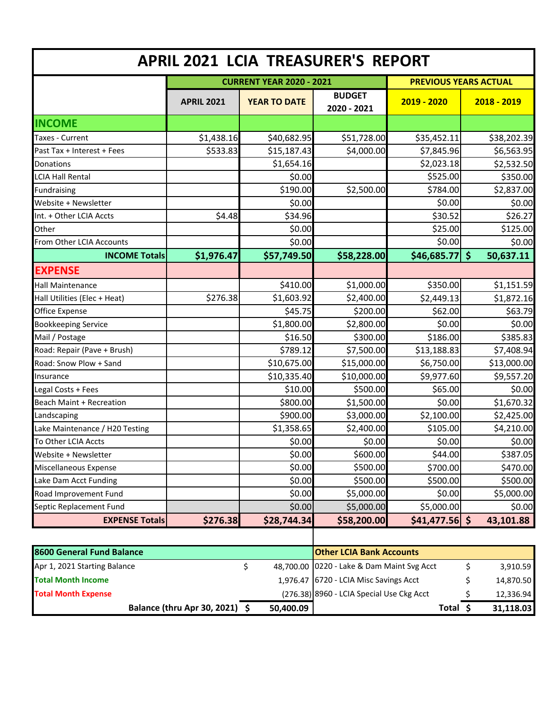|                                |                   | <b>CURRENT YEAR 2020 - 2021</b> |                              | <b>PREVIOUS YEARS ACTUAL</b> |                                 |
|--------------------------------|-------------------|---------------------------------|------------------------------|------------------------------|---------------------------------|
|                                | <b>APRIL 2021</b> | <b>YEAR TO DATE</b>             | <b>BUDGET</b><br>2020 - 2021 | $2019 - 2020$                | $2018 - 2019$                   |
| <b>INCOME</b>                  |                   |                                 |                              |                              |                                 |
| Taxes - Current                | \$1,438.16        | \$40,682.95                     | \$51,728.00                  | \$35,452.11                  | \$38,202.39                     |
| Past Tax + Interest + Fees     | \$533.83          | \$15,187.43                     | \$4,000.00                   | \$7,845.96                   | \$6,563.95                      |
| Donations                      |                   | \$1,654.16                      |                              | \$2,023.18                   | \$2,532.50                      |
| <b>LCIA Hall Rental</b>        |                   | \$0.00                          |                              | \$525.00                     | \$350.00                        |
| Fundraising                    |                   | \$190.00                        | \$2,500.00                   | \$784.00                     | \$2,837.00                      |
| Website + Newsletter           |                   | \$0.00                          |                              | \$0.00                       | \$0.00                          |
| Int. + Other LCIA Accts        | \$4.48            | \$34.96                         |                              | \$30.52                      | \$26.27                         |
| Other                          |                   | \$0.00                          |                              | \$25.00                      | \$125.00                        |
| From Other LCIA Accounts       |                   | \$0.00                          |                              | \$0.00                       | \$0.00                          |
| <b>INCOME Totals</b>           | \$1,976.47        | \$57,749.50                     | \$58,228.00                  | \$46,685.77                  | $\dot{\mathsf{s}}$<br>50,637.11 |
| <b>EXPENSE</b>                 |                   |                                 |                              |                              |                                 |
| <b>Hall Maintenance</b>        |                   | \$410.00                        | \$1,000.00                   | \$350.00                     | \$1,151.59                      |
| Hall Utilities (Elec + Heat)   | \$276.38          | \$1,603.92                      | \$2,400.00                   | \$2,449.13                   | \$1,872.16                      |
| <b>Office Expense</b>          |                   | \$45.75                         | \$200.00                     | \$62.00                      | \$63.79                         |
| <b>Bookkeeping Service</b>     |                   | \$1,800.00                      | \$2,800.00                   | \$0.00                       | \$0.00                          |
| Mail / Postage                 |                   | \$16.50                         | \$300.00                     | \$186.00                     | \$385.83                        |
| Road: Repair (Pave + Brush)    |                   | \$789.12                        | \$7,500.00                   | \$13,188.83                  | \$7,408.94                      |
| Road: Snow Plow + Sand         |                   | \$10,675.00                     | \$15,000.00                  | \$6,750.00                   | \$13,000.00                     |
| Insurance                      |                   | \$10,335.40                     | \$10,000.00                  | \$9,977.60                   | \$9,557.20                      |
| Legal Costs + Fees             |                   | \$10.00                         | \$500.00                     | \$65.00                      | \$0.00                          |
| Beach Maint + Recreation       |                   | \$800.00                        | \$1,500.00                   | \$0.00                       | \$1,670.32                      |
| Landscaping                    |                   | \$900.00                        | \$3,000.00                   | \$2,100.00                   | \$2,425.00                      |
| Lake Maintenance / H20 Testing |                   | \$1,358.65                      | \$2,400.00                   | \$105.00                     | \$4,210.00                      |
| To Other LCIA Accts            |                   | \$0.00                          | \$0.00                       | \$0.00                       | \$0.00                          |
| Website + Newsletter           |                   | \$0.00                          | \$600.00                     | \$44.00                      | \$387.05                        |
| Miscellaneous Expense          |                   | \$0.00                          | \$500.00                     | \$700.00                     | \$470.00                        |
| Lake Dam Acct Funding          |                   | \$0.00                          | \$500.00                     | \$500.00                     | \$500.00                        |
| Road Improvement Fund          |                   | \$0.00                          | \$5,000.00                   | \$0.00                       | \$5,000.00                      |
| Septic Replacement Fund        |                   | \$0.00                          | \$5,000.00                   | \$5,000.00                   | \$0.00                          |
| <b>EXPENSE Totals</b>          | \$276.38          | \$28,744.34                     | \$58,200.00                  | $$41,477.56$ \$              | 43,101.88                       |

| 8600 General Fund Balance      |           | <b>Other LCIA Bank Accounts</b>            |       |           |
|--------------------------------|-----------|--------------------------------------------|-------|-----------|
| Apr 1, 2021 Starting Balance   |           | 48,700.00 0220 - Lake & Dam Maint Svg Acct |       | 3,910.59  |
| <b>Total Month Income</b>      |           | 1,976.47 6720 - LCIA Misc Savings Acct     |       | 14,870.50 |
| <b>Total Month Expense</b>     |           | (276.38) 8960 - LCIA Special Use Ckg Acct  |       | 12,336.94 |
| Balance (thru Apr 30, 2021) \$ | 50,400.09 |                                            | Total | 31,118.03 |